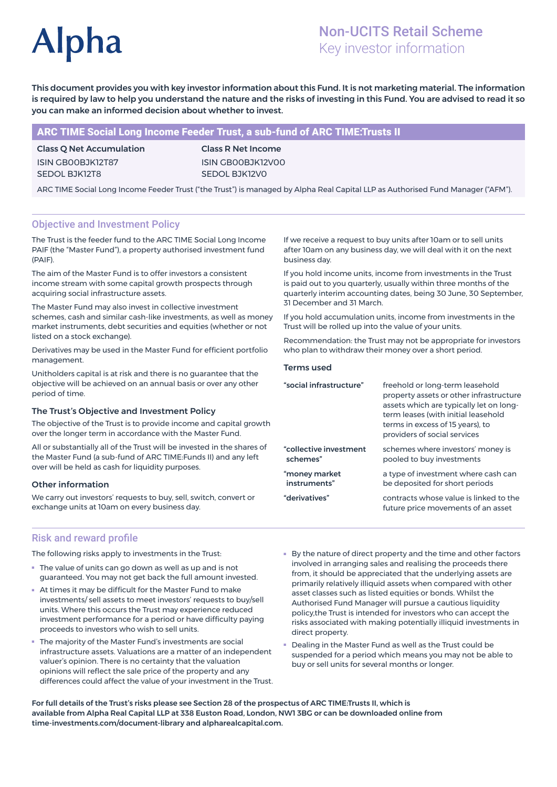# **Alpha**

# Non-UCITS Retail Scheme Key investor information

This document provides you with key investor information about this Fund. It is not marketing material. The information is required by law to help you understand the nature and the risks of investing in this Fund. You are advised to read it so you can make an informed decision about whether to invest.

# ARC TIME Social Long Income Feeder Trust, a sub-fund of ARC TIME:Trusts II

Class Q Net Accumulation ISIN GB00BJK12T87 SEDOL BJK12T8

Class R Net Income ISIN GB00BJK12V00 SEDOL BJK12V0

ARC TIME Social Long Income Feeder Trust ("the Trust") is managed by Alpha Real Capital LLP as Authorised Fund Manager ("AFM").

# Objective and Investment Policy

The Trust is the feeder fund to the ARC TIME Social Long Income PAIF (the "Master Fund"), a property authorised investment fund (PAIF).

The aim of the Master Fund is to offer investors a consistent income stream with some capital growth prospects through acquiring social infrastructure assets.

The Master Fund may also invest in collective investment schemes, cash and similar cash-like investments, as well as money market instruments, debt securities and equities (whether or not listed on a stock exchange).

Derivatives may be used in the Master Fund for efficient portfolio management.

Unitholders capital is at risk and there is no guarantee that the objective will be achieved on an annual basis or over any other period of time.

#### The Trust's Objective and Investment Policy

The objective of the Trust is to provide income and capital growth over the longer term in accordance with the Master Fund.

All or substantially all of the Trust will be invested in the shares of the Master Fund (a sub-fund of ARC TIME:Funds II) and any left over will be held as cash for liquidity purposes.

### Other information

We carry out investors' requests to buy, sell, switch, convert or exchange units at 10am on every business day.

If we receive a request to buy units after 10am or to sell units after 10am on any business day, we will deal with it on the next business day.

If you hold income units, income from investments in the Trust is paid out to you quarterly, usually within three months of the quarterly interim accounting dates, being 30 June, 30 September, 31 December and 31 March.

If you hold accumulation units, income from investments in the Trust will be rolled up into the value of your units.

Recommendation: the Trust may not be appropriate for investors who plan to withdraw their money over a short period.

#### Terms used

| "social infrastructure" | freehold or long-term leasehold<br>property assets or other infrastructure<br>assets which are typically let on long-<br>term leases (with initial leasehold<br>terms in excess of 15 years), to<br>providers of social services |
|-------------------------|----------------------------------------------------------------------------------------------------------------------------------------------------------------------------------------------------------------------------------|
| "collective investment  | schemes where investors' money is                                                                                                                                                                                                |
| schemes"                | pooled to buy investments                                                                                                                                                                                                        |
| "money market           | a type of investment where cash can                                                                                                                                                                                              |
| instruments"            | be deposited for short periods                                                                                                                                                                                                   |
| "derivatives"           | contracts whose value is linked to the<br>future price movements of an asset                                                                                                                                                     |

### Risk and reward profile

The following risks apply to investments in the Trust:

- The value of units can go down as well as up and is not guaranteed. You may not get back the full amount invested.
- At times it may be difficult for the Master Fund to make investments/ sell assets to meet investors' requests to buy/sell units. Where this occurs the Trust may experience reduced investment performance for a period or have difficulty paying proceeds to investors who wish to sell units.
- The majority of the Master Fund's investments are social infrastructure assets. Valuations are a matter of an independent valuer's opinion. There is no certainty that the valuation opinions will reflect the sale price of the property and any differences could affect the value of your investment in the Trust.
- By the nature of direct property and the time and other factors involved in arranging sales and realising the proceeds there from, it should be appreciated that the underlying assets are primarily relatively illiquid assets when compared with other asset classes such as listed equities or bonds. Whilst the Authorised Fund Manager will pursue a cautious liquidity policy,the Trust is intended for investors who can accept the risks associated with making potentially illiquid investments in direct property.
- Dealing in the Master Fund as well as the Trust could be suspended for a period which means you may not be able to buy or sell units for several months or longer.

For full details of the Trust's risks please see Section 28 of the prospectus of ARC TIME:Trusts II, which is available from Alpha Real Capital LLP at 338 Euston Road, London, NW1 3BG or can be downloaded online from time-investments.com/document-library and alpharealcapital.com.